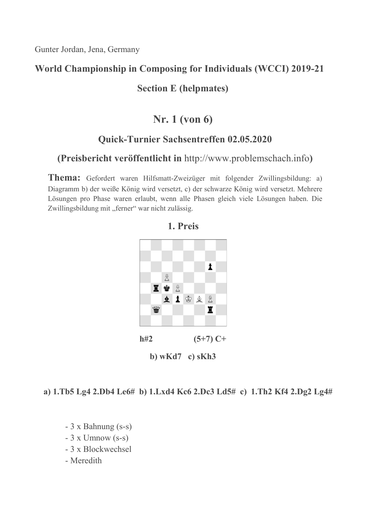### World Championship in Composing for Individuals (WCCI) 2019-21

### Section E (helpmates)

# Nr. 1 (von 6)

### Quick-Turnier Sachsentreffen 02.05.2020

### (Preisbericht veröffentlicht in http://www.problemschach.info)

Thema: Gefordert waren Hilfsmatt-Zweizüger mit folgender Zwillingsbildung: a) Diagramm b) der weiße König wird versetzt, c) der schwarze König wird versetzt. Mehrere Lösungen pro Phase waren erlaubt, wenn alle Phasen gleich viele Lösungen haben. Die Zwillingsbildung mit "ferner" war nicht zulässig.



### 1. Preis

#### a) 1.Tb5 Lg4 2.Db4 Le6# b) 1.Lxd4 Kc6 2.Dc3 Ld5# c) 1.Th2 Kf4 2.Dg2 Lg4#

- 3 x Bahnung (s-s)
- $-3$  x Umnow (s-s)
- 3 x Blockwechsel
- Meredith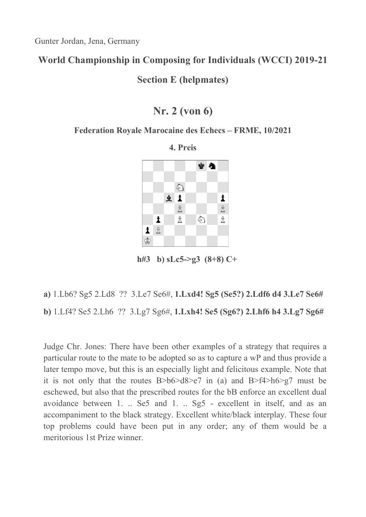### World Championship in Composing for Individuals (WCCI) 2019-21

Section E (helpmates)

## Nr. 2 (von 6)

#### Federation Royale Marocaine des Echecs – FRME, 10/2021



4. Preis

h#3 b)  $sLc5 \geq g3$  (8+8) C+

# a) 1.Lb6? Sg5 2.Ld8 ?? 3.Le7 Se6#, 1.Lxd4! Sg5 (Se5?) 2.Ldf6 d4 3.Le7 Se6# b) 1.Lf4? Se5 2.Lh6 ?? 3.Lg7 Sg6#, 1.Lxh4! Se5 (Sg6?) 2.Lhf6 h4 3.Lg7 Sg6#

Judge Chr. Jones: There have been other examples of a strategy that requires a particular route to the mate to be adopted so as to capture a wP and thus provide a later tempo move, but this is an especially light and felicitous example. Note that it is not only that the routes  $B > b6 > d8 > e7$  in (a) and  $B > f4 > h6 > g7$  must be eschewed, but also that the prescribed routes for the bB enforce an excellent dual avoidance between 1. .. Se5 and 1. .. Sg5 - excellent in itself, and as an accompaniment to the black strategy. Excellent white/black interplay. These four top problems could have been put in any order; any of them would be a meritorious 1st Prize winner.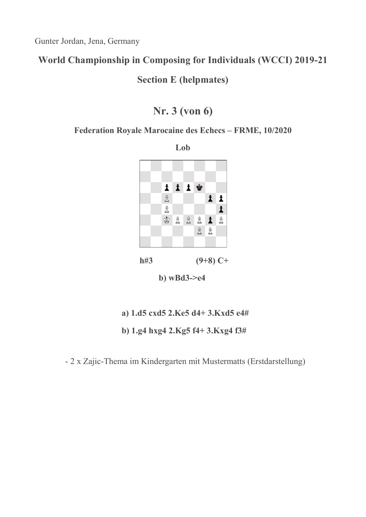### World Championship in Composing for Individuals (WCCI) 2019-21

Section E (helpmates)

# Nr. 3 (von 6)

#### Federation Royale Marocaine des Echecs – FRME, 10/2020

Lob iii w  $\mathring{\Xi}$  $\mathbf{i}$  $\mathbb{\hat{E}}$  $\pmb{\ddot{}}$ 密置置置置置 **& &** 

h#3  $(9+8)$  C+

b) wBd3->e4

- a) 1.d5 cxd5 2.Ke5 d4+ 3.Kxd5 e4#
- b) 1.g4 hxg4 2.Kg5 f4+ 3.Kxg4 f3#

- 2 x Zajic-Thema im Kindergarten mit Mustermatts (Erstdarstellung)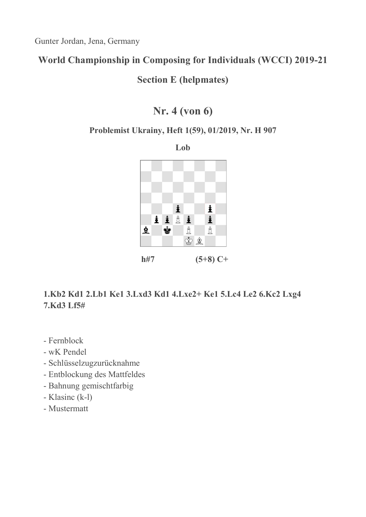# World Championship in Composing for Individuals (WCCI) 2019-21

Section E (helpmates)

# Nr. 4 (von 6)

#### Problemist Ukrainy, Heft 1(59), 01/2019, Nr. H 907

Lob



### 1.Kb2 Kd1 2.Lb1 Ke1 3.Lxd3 Kd1 4.Lxe2+ Ke1 5.Lc4 Le2 6.Kc2 Lxg4 7.Kd3 Lf5#

- Fernblock
- wK Pendel
- Schlüsselzugzurücknahme
- Entblockung des Mattfeldes
- Bahnung gemischtfarbig
- Klasinc (k-l)
- Mustermatt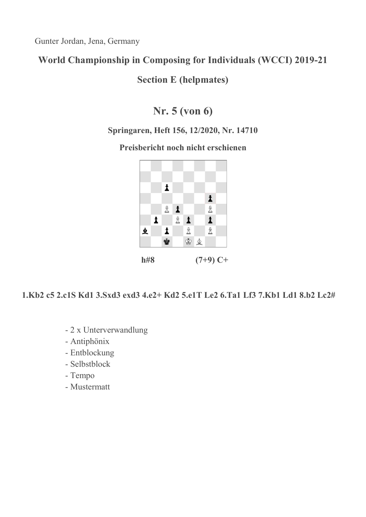# World Championship in Composing for Individuals (WCCI) 2019-21

Section E (helpmates)

# Nr. 5 (von 6)

### Springaren, Heft 156, 12/2020, Nr. 14710

Preisbericht noch nicht erschienen



1.Kb2 c5 2.c1S Kd1 3.Sxd3 exd3 4.e2+ Kd2 5.e1T Le2 6.Ta1 Lf3 7.Kb1 Ld1 8.b2 Lc2#

- 2 x Unterverwandlung
- Antiphönix
- Entblockung
- Selbstblock
- Tempo
- Mustermatt